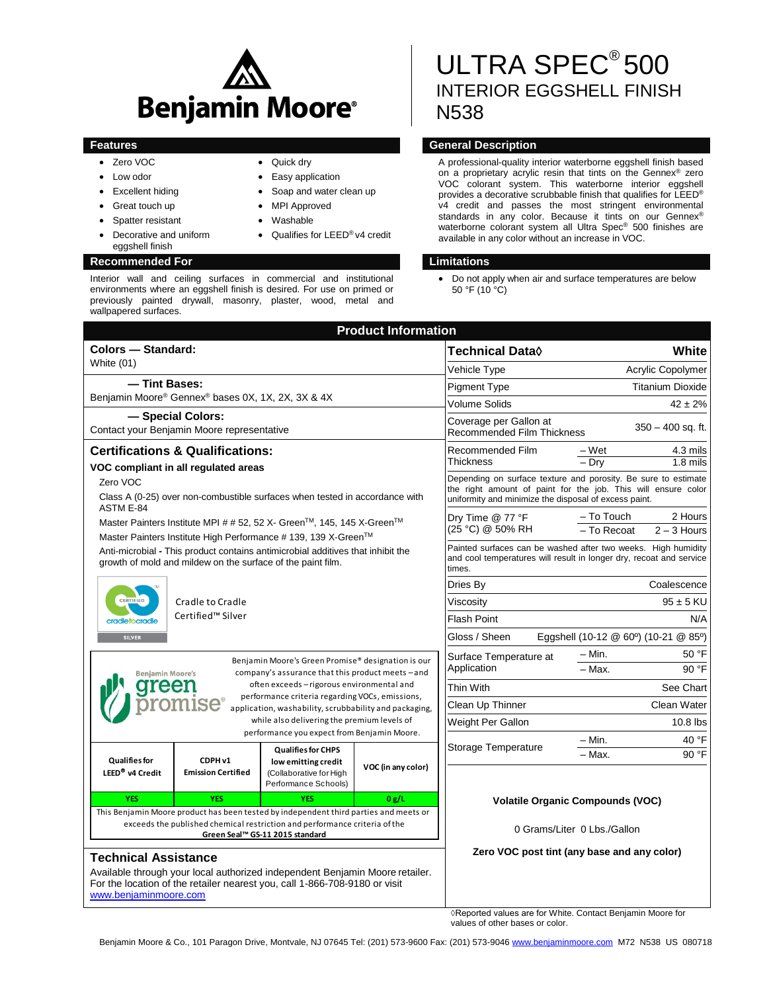

• Quick dry • Easy application

• MPI Approved Washable

Soap and water clean up

Qualifies for LEED® v4 credit

- Zero VOC
- Low odor
- Excellent hiding
- Great touch up
- Spatter resistant
- Decorative and uniform eggshell finish

### **Recommended For Limitations**

Interior wall and ceiling surfaces in commercial and institutional environments where an eggshell finish is desired. For use on primed or previously painted drywall, masonry, plaster, wood, metal and wallpapered surfaces.

ULTRA SPEC® 500 INTERIOR EGGSHELL FINISH N538

## **Features General Description**

A professional-quality interior waterborne eggshell finish based on a proprietary acrylic resin that tints on the Gennex® zero VOC colorant system. This waterborne interior eggshell provides a decorative scrubbable finish that qualifies for LEED® v4 credit and passes the most stringent environmental standards in any color. Because it tints on our Gennex® waterborne colorant system all Ultra Spec® 500 finishes are available in any color without an increase in VOC.

 Do not apply when air and surface temperatures are below 50 °F (10 °C)

| <b>Product Information</b>                                                                                                                                                                                                                                                                             |                                                                        |                                                 |                                                                                                                                                                                          |                                                                                                            |  |
|--------------------------------------------------------------------------------------------------------------------------------------------------------------------------------------------------------------------------------------------------------------------------------------------------------|------------------------------------------------------------------------|-------------------------------------------------|------------------------------------------------------------------------------------------------------------------------------------------------------------------------------------------|------------------------------------------------------------------------------------------------------------|--|
| Colors - Standard:                                                                                                                                                                                                                                                                                     |                                                                        |                                                 | <b>Technical Data</b> ♦                                                                                                                                                                  | White                                                                                                      |  |
| <b>White (01)</b>                                                                                                                                                                                                                                                                                      |                                                                        |                                                 | Vehicle Type                                                                                                                                                                             | <b>Acrylic Copolymer</b>                                                                                   |  |
| - Tint Bases:                                                                                                                                                                                                                                                                                          |                                                                        |                                                 | <b>Pigment Type</b>                                                                                                                                                                      | <b>Titanium Dioxide</b>                                                                                    |  |
| Benjamin Moore® Gennex® bases 0X, 1X, 2X, 3X & 4X                                                                                                                                                                                                                                                      |                                                                        |                                                 | <b>Volume Solids</b>                                                                                                                                                                     | $42 \pm 2%$                                                                                                |  |
| - Special Colors:<br>Contact your Benjamin Moore representative                                                                                                                                                                                                                                        |                                                                        |                                                 | Coverage per Gallon at<br><b>Recommended Film Thickness</b>                                                                                                                              | $350 - 400$ sq. ft.                                                                                        |  |
| <b>Certifications &amp; Qualifications:</b>                                                                                                                                                                                                                                                            |                                                                        |                                                 | Recommended Film                                                                                                                                                                         | – Wet<br>4.3 mils                                                                                          |  |
| VOC compliant in all regulated areas                                                                                                                                                                                                                                                                   |                                                                        |                                                 | <b>Thickness</b>                                                                                                                                                                         | - Drv<br>$1.8$ mils                                                                                        |  |
| Zero VOC<br>Class A (0-25) over non-combustible surfaces when tested in accordance with                                                                                                                                                                                                                |                                                                        |                                                 | Depending on surface texture and porosity. Be sure to estimate<br>the right amount of paint for the job. This will ensure color<br>uniformity and minimize the disposal of excess paint. |                                                                                                            |  |
| ASTM E-84<br>Master Painters Institute MPI # # 52, 52 X- Green™, 145, 145 X-Green™<br>Master Painters Institute High Performance # 139, 139 X-Green™                                                                                                                                                   |                                                                        | Dry Time $@$ 77 $\degree$ F<br>(25 °C) @ 50% RH | - To Touch<br>2 Hours<br>$-$ To Recoat<br>$2 - 3$ Hours                                                                                                                                  |                                                                                                            |  |
| Anti-microbial - This product contains antimicrobial additives that inhibit the<br>growth of mold and mildew on the surface of the paint film.                                                                                                                                                         |                                                                        |                                                 | Painted surfaces can be washed after two weeks. High humidity<br>and cool temperatures will result in longer dry, recoat and service<br>times.                                           |                                                                                                            |  |
| CERTIFIED<br>Cradle to Cradle<br>Certified <sup>™</sup> Silver<br>cradletocradle<br><b>SILVER</b>                                                                                                                                                                                                      |                                                                        |                                                 | Dries By                                                                                                                                                                                 | Coalescence                                                                                                |  |
|                                                                                                                                                                                                                                                                                                        |                                                                        |                                                 | Viscosity                                                                                                                                                                                | $95 \pm 5$ KU                                                                                              |  |
|                                                                                                                                                                                                                                                                                                        |                                                                        |                                                 | <b>Flash Point</b>                                                                                                                                                                       | N/A                                                                                                        |  |
|                                                                                                                                                                                                                                                                                                        |                                                                        |                                                 | Eggshell (10-12 @ 60°) (10-21 @ 85°)<br>Gloss / Sheen                                                                                                                                    |                                                                                                            |  |
| Benjamin Moore's Green Promise® designation is our<br>company's assurance that this product meets - and<br><b>Benjamin Moore's</b><br>often exceeds - rigorous environmental and<br>greer<br>performance criteria regarding VOCs, emissions,<br>application, washability, scrubbability and packaging, |                                                                        |                                                 | Surface Temperature at<br>Application                                                                                                                                                    | $- Min.$<br>50 °F                                                                                          |  |
|                                                                                                                                                                                                                                                                                                        |                                                                        |                                                 |                                                                                                                                                                                          | - Max.<br>90 °F                                                                                            |  |
|                                                                                                                                                                                                                                                                                                        |                                                                        |                                                 | Thin With                                                                                                                                                                                | See Chart                                                                                                  |  |
|                                                                                                                                                                                                                                                                                                        |                                                                        |                                                 | Clean Up Thinner                                                                                                                                                                         | Clean Water                                                                                                |  |
| while also delivering the premium levels of<br>performance you expect from Benjamin Moore.                                                                                                                                                                                                             |                                                                        |                                                 | Weight Per Gallon                                                                                                                                                                        | 10.8 lbs                                                                                                   |  |
|                                                                                                                                                                                                                                                                                                        | <b>Qualifies for CHPS</b>                                              |                                                 | Storage Temperature                                                                                                                                                                      | – Min.<br>40 °F                                                                                            |  |
| <b>Qualifies for</b><br>CDPH v1<br>LEED <sup>®</sup> v4 Credit<br><b>Emission Certified</b>                                                                                                                                                                                                            | low emitting credit<br>(Collaborative for High<br>Performance Schools) | VOC (in any color)                              |                                                                                                                                                                                          | - Max<br>90°F                                                                                              |  |
| <b>YES</b><br><b>YES</b>                                                                                                                                                                                                                                                                               | <b>YES</b>                                                             | 0 g/L                                           |                                                                                                                                                                                          | <b>Volatile Organic Compounds (VOC)</b>                                                                    |  |
| This Benjamin Moore product has been tested by independent third parties and meets or<br>exceeds the published chemical restriction and performance criteria of the<br>Green Seal™ GS-11 2015 standard                                                                                                 |                                                                        |                                                 | 0 Grams/Liter 0 Lbs./Gallon                                                                                                                                                              |                                                                                                            |  |
| <b>Technical Assistance</b><br>Available through your local authorized independent Benjamin Moore retailer.<br>For the location of the retailer nearest you, call 1-866-708-9180 or visit<br>www.benjaminmoore.com                                                                                     |                                                                        |                                                 | values of other bases or color.                                                                                                                                                          | Zero VOC post tint (any base and any color)<br>◊ Reported values are for White. Contact Benjamin Moore for |  |

Benjamin Moore & Co., 101 Paragon Drive, Montvale, NJ 07645 Tel: (201) 573-9600 Fax: (201) 573-9046 [www.benjaminmoore.com](http://www.benjaminmoore.com/) M72 N538 US 080718